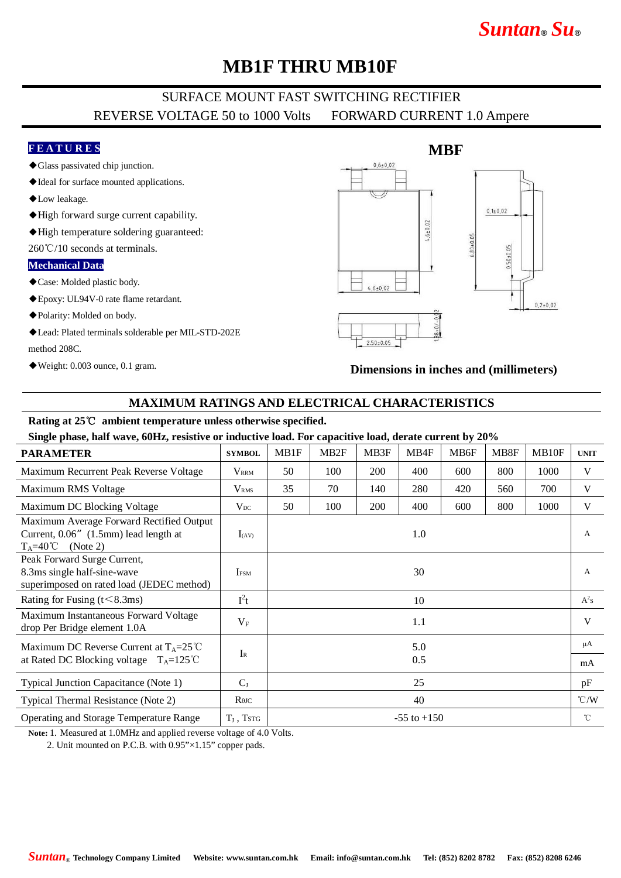# *Suntan***®** *Su***®**

## **MB1F THRU MB10F**

### SURFACE MOUNT FAST SWITCHING RECTIFIER REVERSE VOLTAGE 50 to 1000 Volts FORWARD CURRENT 1.0 Ampere

### **F E A T U R E S**

- ◆Glass passivated chip junction.
- ◆Ideal for surface mounted applications.
- ◆Low leakage.
- ◆High forward surge current capability.
- ◆High temperature soldering guaranteed:

260℃/10 seconds at terminals.

#### **Mechanical Data**

- ◆Case: Molded plastic body.
- ◆Epoxy: UL94V-0 rate flame retardant.
- ◆Polarity: Molded on body.
- ◆Lead: Plated terminals solderable per MIL-STD-202E method 208C.
- ◆Weight: 0.003 ounce, 0.1 gram.



#### **Dimensions in inches and (millimeters)**

### **MAXIMUM RATINGS AND ELECTRICAL CHARACTERISTICS**

#### **Rating at 25**℃ **ambient temperature unless otherwise specified.**

**Single phase, half wave, 60Hz, resistive or inductive load. For capacitive load, derate current by 20%**

| <b>PARAMETER</b>                                                                                               | <b>SYMBOL</b>    | MB1F | MB <sub>2F</sub> | MB3F       | MB4F            | MB6F | MB8F | MB10F | <b>UNIT</b>   |
|----------------------------------------------------------------------------------------------------------------|------------------|------|------------------|------------|-----------------|------|------|-------|---------------|
| Maximum Recurrent Peak Reverse Voltage                                                                         | $V_{\rm RRM}$    | 50   | 100              | <b>200</b> | 400             | 600  | 800  | 1000  | V             |
| Maximum RMS Voltage                                                                                            | V <sub>RMS</sub> | 35   | 70               | 140        | 280             | 420  | 560  | 700   | V             |
| Maximum DC Blocking Voltage                                                                                    | $V_{DC}$         | 50   | 100              | 200        | 400             | 600  | 800  | 1000  | V             |
| Maximum Average Forward Rectified Output<br>Current, 0.06" (1.5mm) lead length at<br>$T_A=40^{\circ}$ (Note 2) | $I_{(AV)}$       |      |                  |            | 1.0             |      |      |       | A             |
| Peak Forward Surge Current,<br>8.3ms single half-sine-wave<br>superimposed on rated load (JEDEC method)        | <b>IFSM</b>      |      |                  |            | 30              |      |      |       | A             |
| Rating for Fusing $(t<8.3ms)$                                                                                  | $I^2t$           | 10   |                  |            |                 |      |      |       | $A^2s$        |
| Maximum Instantaneous Forward Voltage<br>drop Per Bridge element 1.0A                                          | $V_{F}$          | 1.1  |                  |            |                 |      |      |       | V             |
| Maximum DC Reverse Current at $T_A = 25^{\circ}C$<br>at Rated DC Blocking voltage $T_A = 125^{\circ}C$         | $I_{R}$          | 5.0  |                  |            |                 |      |      |       | μA            |
|                                                                                                                |                  | 0.5  |                  |            |                 |      |      |       | mA            |
| Typical Junction Capacitance (Note 1)                                                                          | $C_{I}$          |      |                  |            | 25              |      |      |       | pF            |
| Typical Thermal Resistance (Note 2)                                                                            | $R$ $\theta$ JC  | 40   |                  |            |                 |      |      |       | $\degree$ C/W |
| Operating and Storage Temperature Range                                                                        | $T_J$ , TstG     |      |                  |            | $-55$ to $+150$ |      |      |       | $^{\circ}$ C  |

**Note:** 1. Measured at 1.0MHz and applied reverse voltage of 4.0 Volts.

2. Unit mounted on P.C.B. with 0.95"×1.15" copper pads.